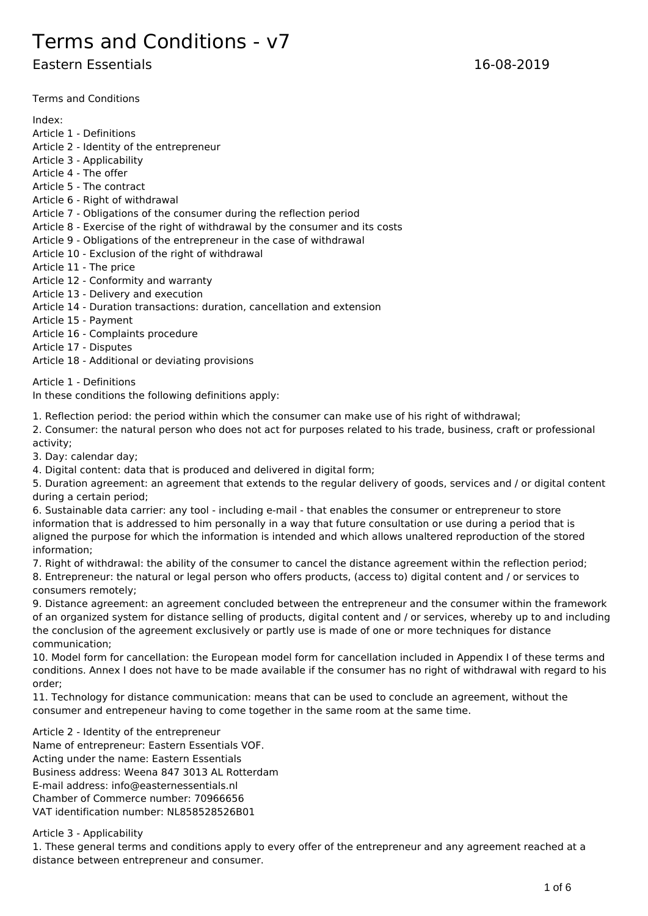# Terms and Conditions - v7

Terms and Conditions

Index:

Article 1 - Definitions

Article 2 - Identity of the entrepreneur

Article 3 - Applicability

Article 4 - The offer

Article 5 - The contract

Article 6 - Right of withdrawal

Article 7 - Obligations of the consumer during the reflection period

Article 8 - Exercise of the right of withdrawal by the consumer and its costs

Article 9 - Obligations of the entrepreneur in the case of withdrawal

Article 10 - Exclusion of the right of withdrawal

Article 11 - The price

Article 12 - Conformity and warranty

Article 13 - Delivery and execution

Article 14 - Duration transactions: duration, cancellation and extension

Article 15 - Payment

Article 16 - Complaints procedure

Article 17 - Disputes

Article 18 - Additional or deviating provisions

Article 1 - Definitions In these conditions the following definitions apply:

1. Reflection period: the period within which the consumer can make use of his right of withdrawal;

2. Consumer: the natural person who does not act for purposes related to his trade, business, craft or professional activity;

3. Day: calendar day;

4. Digital content: data that is produced and delivered in digital form;

5. Duration agreement: an agreement that extends to the regular delivery of goods, services and / or digital content during a certain period;

6. Sustainable data carrier: any tool - including e-mail - that enables the consumer or entrepreneur to store information that is addressed to him personally in a way that future consultation or use during a period that is aligned the purpose for which the information is intended and which allows unaltered reproduction of the stored information;

7. Right of withdrawal: the ability of the consumer to cancel the distance agreement within the reflection period; 8. Entrepreneur: the natural or legal person who offers products, (access to) digital content and / or services to consumers remotely;

9. Distance agreement: an agreement concluded between the entrepreneur and the consumer within the framework of an organized system for distance selling of products, digital content and / or services, whereby up to and including the conclusion of the agreement exclusively or partly use is made of one or more techniques for distance communication;

10. Model form for cancellation: the European model form for cancellation included in Appendix I of these terms and conditions. Annex I does not have to be made available if the consumer has no right of withdrawal with regard to his order;

11. Technology for distance communication: means that can be used to conclude an agreement, without the consumer and entrepeneur having to come together in the same room at the same time.

Article 2 - Identity of the entrepreneur Name of entrepreneur: Eastern Essentials VOF. Acting under the name: Eastern Essentials Business address: Weena 847 3013 AL Rotterdam E-mail address: info@easternessentials.nl Chamber of Commerce number: 70966656 VAT identification number: NL858528526B01

Article 3 - Applicability

1. These general terms and conditions apply to every offer of the entrepreneur and any agreement reached at a distance between entrepreneur and consumer.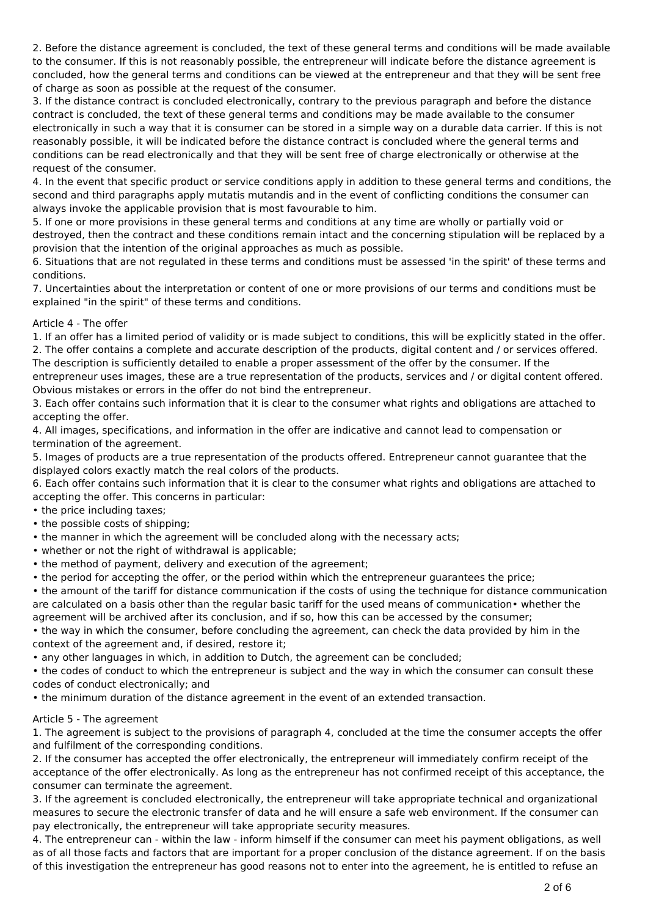2. Before the distance agreement is concluded, the text of these general terms and conditions will be made available to the consumer. If this is not reasonably possible, the entrepreneur will indicate before the distance agreement is concluded, how the general terms and conditions can be viewed at the entrepreneur and that they will be sent free of charge as soon as possible at the request of the consumer.

3. If the distance contract is concluded electronically, contrary to the previous paragraph and before the distance contract is concluded, the text of these general terms and conditions may be made available to the consumer electronically in such a way that it is consumer can be stored in a simple way on a durable data carrier. If this is not reasonably possible, it will be indicated before the distance contract is concluded where the general terms and conditions can be read electronically and that they will be sent free of charge electronically or otherwise at the request of the consumer.

4. In the event that specific product or service conditions apply in addition to these general terms and conditions, the second and third paragraphs apply mutatis mutandis and in the event of conflicting conditions the consumer can always invoke the applicable provision that is most favourable to him.

5. If one or more provisions in these general terms and conditions at any time are wholly or partially void or destroyed, then the contract and these conditions remain intact and the concerning stipulation will be replaced by a provision that the intention of the original approaches as much as possible.

6. Situations that are not regulated in these terms and conditions must be assessed 'in the spirit' of these terms and conditions.

7. Uncertainties about the interpretation or content of one or more provisions of our terms and conditions must be explained "in the spirit" of these terms and conditions.

## Article 4 - The offer

1. If an offer has a limited period of validity or is made subject to conditions, this will be explicitly stated in the offer. 2. The offer contains a complete and accurate description of the products, digital content and / or services offered. The description is sufficiently detailed to enable a proper assessment of the offer by the consumer. If the

entrepreneur uses images, these are a true representation of the products, services and / or digital content offered. Obvious mistakes or errors in the offer do not bind the entrepreneur.

3. Each offer contains such information that it is clear to the consumer what rights and obligations are attached to accepting the offer.

4. All images, specifications, and information in the offer are indicative and cannot lead to compensation or termination of the agreement.

5. Images of products are a true representation of the products offered. Entrepreneur cannot guarantee that the displayed colors exactly match the real colors of the products.

6. Each offer contains such information that it is clear to the consumer what rights and obligations are attached to accepting the offer. This concerns in particular:

• the price including taxes;

- the possible costs of shipping;
- the manner in which the agreement will be concluded along with the necessary acts;
- whether or not the right of withdrawal is applicable;
- the method of payment, delivery and execution of the agreement;
- the period for accepting the offer, or the period within which the entrepreneur guarantees the price;

• the amount of the tariff for distance communication if the costs of using the technique for distance communication are calculated on a basis other than the regular basic tariff for the used means of communication• whether the agreement will be archived after its conclusion, and if so, how this can be accessed by the consumer;

• the way in which the consumer, before concluding the agreement, can check the data provided by him in the context of the agreement and, if desired, restore it;

• any other languages in which, in addition to Dutch, the agreement can be concluded;

• the codes of conduct to which the entrepreneur is subject and the way in which the consumer can consult these codes of conduct electronically; and

• the minimum duration of the distance agreement in the event of an extended transaction.

## Article 5 - The agreement

1. The agreement is subject to the provisions of paragraph 4, concluded at the time the consumer accepts the offer and fulfilment of the corresponding conditions.

2. If the consumer has accepted the offer electronically, the entrepreneur will immediately confirm receipt of the acceptance of the offer electronically. As long as the entrepreneur has not confirmed receipt of this acceptance, the consumer can terminate the agreement.

3. If the agreement is concluded electronically, the entrepreneur will take appropriate technical and organizational measures to secure the electronic transfer of data and he will ensure a safe web environment. If the consumer can pay electronically, the entrepreneur will take appropriate security measures.

4. The entrepreneur can - within the law - inform himself if the consumer can meet his payment obligations, as well as of all those facts and factors that are important for a proper conclusion of the distance agreement. If on the basis of this investigation the entrepreneur has good reasons not to enter into the agreement, he is entitled to refuse an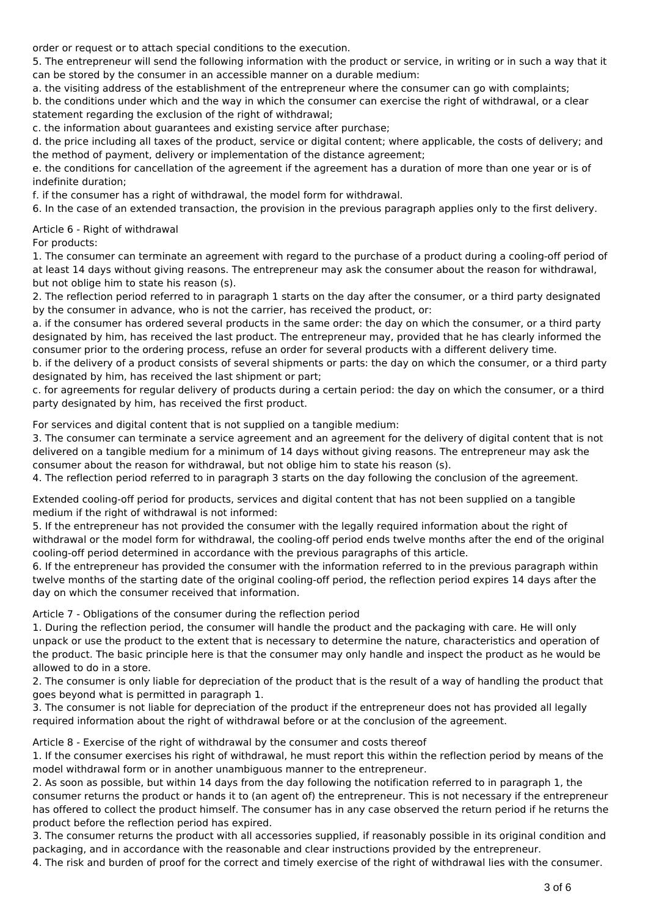order or request or to attach special conditions to the execution.

5. The entrepreneur will send the following information with the product or service, in writing or in such a way that it can be stored by the consumer in an accessible manner on a durable medium:

a. the visiting address of the establishment of the entrepreneur where the consumer can go with complaints; b. the conditions under which and the way in which the consumer can exercise the right of withdrawal, or a clear statement regarding the exclusion of the right of withdrawal;

c. the information about guarantees and existing service after purchase;

d. the price including all taxes of the product, service or digital content; where applicable, the costs of delivery; and the method of payment, delivery or implementation of the distance agreement;

e. the conditions for cancellation of the agreement if the agreement has a duration of more than one year or is of indefinite duration;

f. if the consumer has a right of withdrawal, the model form for withdrawal.

6. In the case of an extended transaction, the provision in the previous paragraph applies only to the first delivery.

Article 6 - Right of withdrawal

For products:

1. The consumer can terminate an agreement with regard to the purchase of a product during a cooling-off period of at least 14 days without giving reasons. The entrepreneur may ask the consumer about the reason for withdrawal, but not oblige him to state his reason (s).

2. The reflection period referred to in paragraph 1 starts on the day after the consumer, or a third party designated by the consumer in advance, who is not the carrier, has received the product, or:

a. if the consumer has ordered several products in the same order: the day on which the consumer, or a third party designated by him, has received the last product. The entrepreneur may, provided that he has clearly informed the consumer prior to the ordering process, refuse an order for several products with a different delivery time.

b. if the delivery of a product consists of several shipments or parts: the day on which the consumer, or a third party designated by him, has received the last shipment or part;

c. for agreements for regular delivery of products during a certain period: the day on which the consumer, or a third party designated by him, has received the first product.

For services and digital content that is not supplied on a tangible medium:

3. The consumer can terminate a service agreement and an agreement for the delivery of digital content that is not delivered on a tangible medium for a minimum of 14 days without giving reasons. The entrepreneur may ask the consumer about the reason for withdrawal, but not oblige him to state his reason (s).

4. The reflection period referred to in paragraph 3 starts on the day following the conclusion of the agreement.

Extended cooling-off period for products, services and digital content that has not been supplied on a tangible medium if the right of withdrawal is not informed:

5. If the entrepreneur has not provided the consumer with the legally required information about the right of withdrawal or the model form for withdrawal, the cooling-off period ends twelve months after the end of the original cooling-off period determined in accordance with the previous paragraphs of this article.

6. If the entrepreneur has provided the consumer with the information referred to in the previous paragraph within twelve months of the starting date of the original cooling-off period, the reflection period expires 14 days after the day on which the consumer received that information.

Article 7 - Obligations of the consumer during the reflection period

1. During the reflection period, the consumer will handle the product and the packaging with care. He will only unpack or use the product to the extent that is necessary to determine the nature, characteristics and operation of the product. The basic principle here is that the consumer may only handle and inspect the product as he would be allowed to do in a store.

2. The consumer is only liable for depreciation of the product that is the result of a way of handling the product that goes beyond what is permitted in paragraph 1.

3. The consumer is not liable for depreciation of the product if the entrepreneur does not has provided all legally required information about the right of withdrawal before or at the conclusion of the agreement.

Article 8 - Exercise of the right of withdrawal by the consumer and costs thereof

1. If the consumer exercises his right of withdrawal, he must report this within the reflection period by means of the model withdrawal form or in another unambiguous manner to the entrepreneur.

2. As soon as possible, but within 14 days from the day following the notification referred to in paragraph 1, the consumer returns the product or hands it to (an agent of) the entrepreneur. This is not necessary if the entrepreneur has offered to collect the product himself. The consumer has in any case observed the return period if he returns the product before the reflection period has expired.

3. The consumer returns the product with all accessories supplied, if reasonably possible in its original condition and packaging, and in accordance with the reasonable and clear instructions provided by the entrepreneur.

4. The risk and burden of proof for the correct and timely exercise of the right of withdrawal lies with the consumer.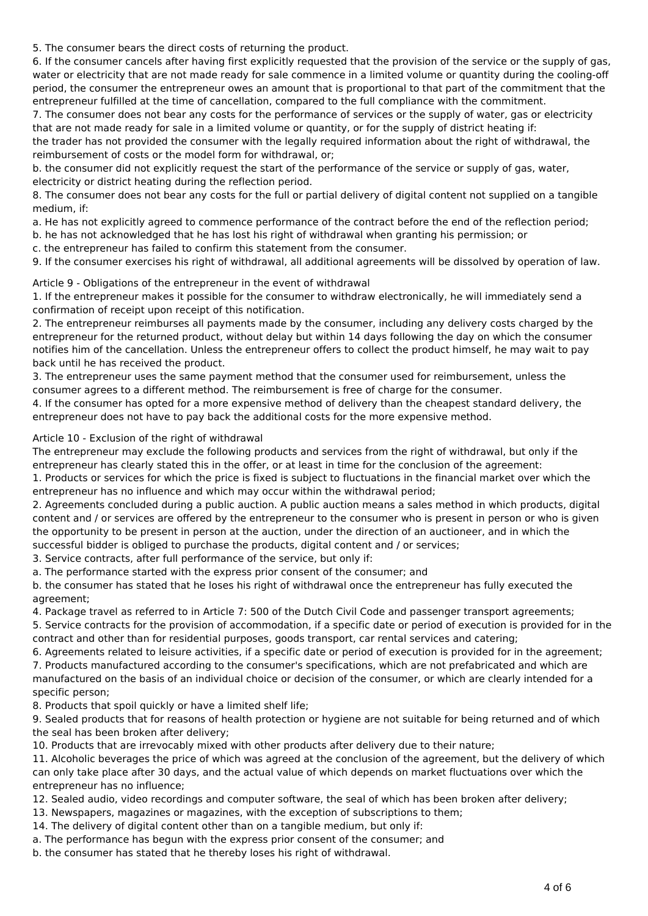5. The consumer bears the direct costs of returning the product.

6. If the consumer cancels after having first explicitly requested that the provision of the service or the supply of gas, water or electricity that are not made ready for sale commence in a limited volume or quantity during the cooling-off period, the consumer the entrepreneur owes an amount that is proportional to that part of the commitment that the entrepreneur fulfilled at the time of cancellation, compared to the full compliance with the commitment.

7. The consumer does not bear any costs for the performance of services or the supply of water, gas or electricity that are not made ready for sale in a limited volume or quantity, or for the supply of district heating if:

the trader has not provided the consumer with the legally required information about the right of withdrawal, the reimbursement of costs or the model form for withdrawal, or;

b. the consumer did not explicitly request the start of the performance of the service or supply of gas, water, electricity or district heating during the reflection period.

8. The consumer does not bear any costs for the full or partial delivery of digital content not supplied on a tangible medium, if:

a. He has not explicitly agreed to commence performance of the contract before the end of the reflection period;

- b. he has not acknowledged that he has lost his right of withdrawal when granting his permission; or
- c. the entrepreneur has failed to confirm this statement from the consumer.

9. If the consumer exercises his right of withdrawal, all additional agreements will be dissolved by operation of law.

## Article 9 - Obligations of the entrepreneur in the event of withdrawal

1. If the entrepreneur makes it possible for the consumer to withdraw electronically, he will immediately send a confirmation of receipt upon receipt of this notification.

2. The entrepreneur reimburses all payments made by the consumer, including any delivery costs charged by the entrepreneur for the returned product, without delay but within 14 days following the day on which the consumer notifies him of the cancellation. Unless the entrepreneur offers to collect the product himself, he may wait to pay back until he has received the product.

3. The entrepreneur uses the same payment method that the consumer used for reimbursement, unless the consumer agrees to a different method. The reimbursement is free of charge for the consumer.

4. If the consumer has opted for a more expensive method of delivery than the cheapest standard delivery, the entrepreneur does not have to pay back the additional costs for the more expensive method.

## Article 10 - Exclusion of the right of withdrawal

The entrepreneur may exclude the following products and services from the right of withdrawal, but only if the entrepreneur has clearly stated this in the offer, or at least in time for the conclusion of the agreement:

1. Products or services for which the price is fixed is subject to fluctuations in the financial market over which the entrepreneur has no influence and which may occur within the withdrawal period;

2. Agreements concluded during a public auction. A public auction means a sales method in which products, digital content and / or services are offered by the entrepreneur to the consumer who is present in person or who is given the opportunity to be present in person at the auction, under the direction of an auctioneer, and in which the successful bidder is obliged to purchase the products, digital content and / or services;

3. Service contracts, after full performance of the service, but only if:

a. The performance started with the express prior consent of the consumer; and

b. the consumer has stated that he loses his right of withdrawal once the entrepreneur has fully executed the agreement;

4. Package travel as referred to in Article 7: 500 of the Dutch Civil Code and passenger transport agreements; 5. Service contracts for the provision of accommodation, if a specific date or period of execution is provided for in the contract and other than for residential purposes, goods transport, car rental services and catering;

6. Agreements related to leisure activities, if a specific date or period of execution is provided for in the agreement;

7. Products manufactured according to the consumer's specifications, which are not prefabricated and which are manufactured on the basis of an individual choice or decision of the consumer, or which are clearly intended for a specific person;

8. Products that spoil quickly or have a limited shelf life;

9. Sealed products that for reasons of health protection or hygiene are not suitable for being returned and of which the seal has been broken after delivery;

10. Products that are irrevocably mixed with other products after delivery due to their nature;

11. Alcoholic beverages the price of which was agreed at the conclusion of the agreement, but the delivery of which can only take place after 30 days, and the actual value of which depends on market fluctuations over which the entrepreneur has no influence;

12. Sealed audio, video recordings and computer software, the seal of which has been broken after delivery;

13. Newspapers, magazines or magazines, with the exception of subscriptions to them;

14. The delivery of digital content other than on a tangible medium, but only if:

a. The performance has begun with the express prior consent of the consumer; and

b. the consumer has stated that he thereby loses his right of withdrawal.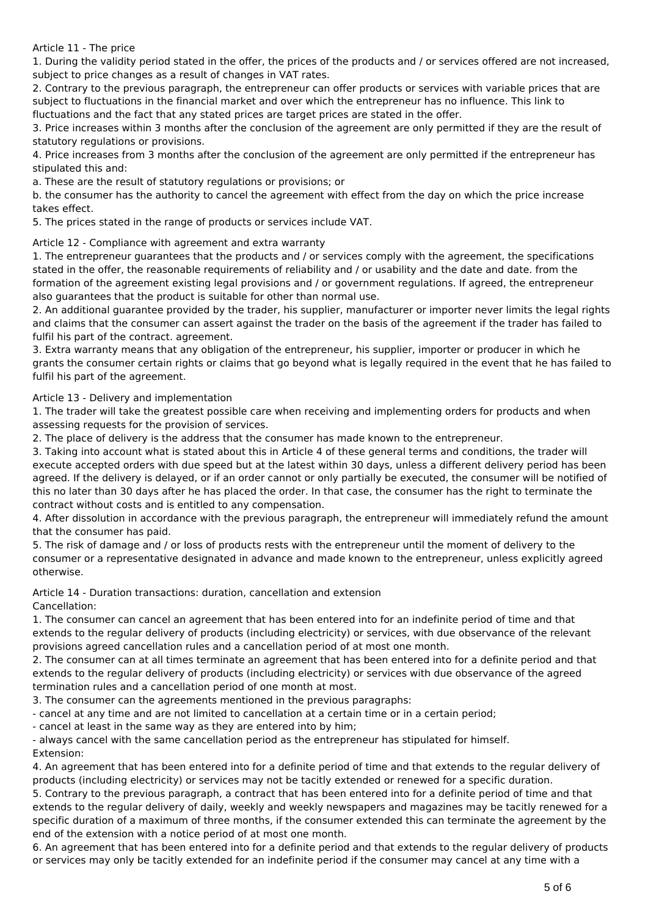Article 11 - The price

1. During the validity period stated in the offer, the prices of the products and / or services offered are not increased, subject to price changes as a result of changes in VAT rates.

2. Contrary to the previous paragraph, the entrepreneur can offer products or services with variable prices that are subject to fluctuations in the financial market and over which the entrepreneur has no influence. This link to fluctuations and the fact that any stated prices are target prices are stated in the offer.

3. Price increases within 3 months after the conclusion of the agreement are only permitted if they are the result of statutory regulations or provisions.

4. Price increases from 3 months after the conclusion of the agreement are only permitted if the entrepreneur has stipulated this and:

a. These are the result of statutory regulations or provisions; or

b. the consumer has the authority to cancel the agreement with effect from the day on which the price increase takes effect.

5. The prices stated in the range of products or services include VAT.

Article 12 - Compliance with agreement and extra warranty

1. The entrepreneur guarantees that the products and / or services comply with the agreement, the specifications stated in the offer, the reasonable requirements of reliability and / or usability and the date and date. from the formation of the agreement existing legal provisions and / or government regulations. If agreed, the entrepreneur also guarantees that the product is suitable for other than normal use.

2. An additional guarantee provided by the trader, his supplier, manufacturer or importer never limits the legal rights and claims that the consumer can assert against the trader on the basis of the agreement if the trader has failed to fulfil his part of the contract. agreement.

3. Extra warranty means that any obligation of the entrepreneur, his supplier, importer or producer in which he grants the consumer certain rights or claims that go beyond what is legally required in the event that he has failed to fulfil his part of the agreement.

Article 13 - Delivery and implementation

1. The trader will take the greatest possible care when receiving and implementing orders for products and when assessing requests for the provision of services.

2. The place of delivery is the address that the consumer has made known to the entrepreneur.

3. Taking into account what is stated about this in Article 4 of these general terms and conditions, the trader will execute accepted orders with due speed but at the latest within 30 days, unless a different delivery period has been agreed. If the delivery is delayed, or if an order cannot or only partially be executed, the consumer will be notified of this no later than 30 days after he has placed the order. In that case, the consumer has the right to terminate the contract without costs and is entitled to any compensation.

4. After dissolution in accordance with the previous paragraph, the entrepreneur will immediately refund the amount that the consumer has paid.

5. The risk of damage and / or loss of products rests with the entrepreneur until the moment of delivery to the consumer or a representative designated in advance and made known to the entrepreneur, unless explicitly agreed otherwise.

Article 14 - Duration transactions: duration, cancellation and extension

Cancellation:

1. The consumer can cancel an agreement that has been entered into for an indefinite period of time and that extends to the regular delivery of products (including electricity) or services, with due observance of the relevant provisions agreed cancellation rules and a cancellation period of at most one month.

2. The consumer can at all times terminate an agreement that has been entered into for a definite period and that extends to the regular delivery of products (including electricity) or services with due observance of the agreed termination rules and a cancellation period of one month at most.

3. The consumer can the agreements mentioned in the previous paragraphs:

- cancel at any time and are not limited to cancellation at a certain time or in a certain period;

- cancel at least in the same way as they are entered into by him;

- always cancel with the same cancellation period as the entrepreneur has stipulated for himself. Extension:

4. An agreement that has been entered into for a definite period of time and that extends to the regular delivery of products (including electricity) or services may not be tacitly extended or renewed for a specific duration.

5. Contrary to the previous paragraph, a contract that has been entered into for a definite period of time and that extends to the regular delivery of daily, weekly and weekly newspapers and magazines may be tacitly renewed for a specific duration of a maximum of three months, if the consumer extended this can terminate the agreement by the end of the extension with a notice period of at most one month.

6. An agreement that has been entered into for a definite period and that extends to the regular delivery of products or services may only be tacitly extended for an indefinite period if the consumer may cancel at any time with a